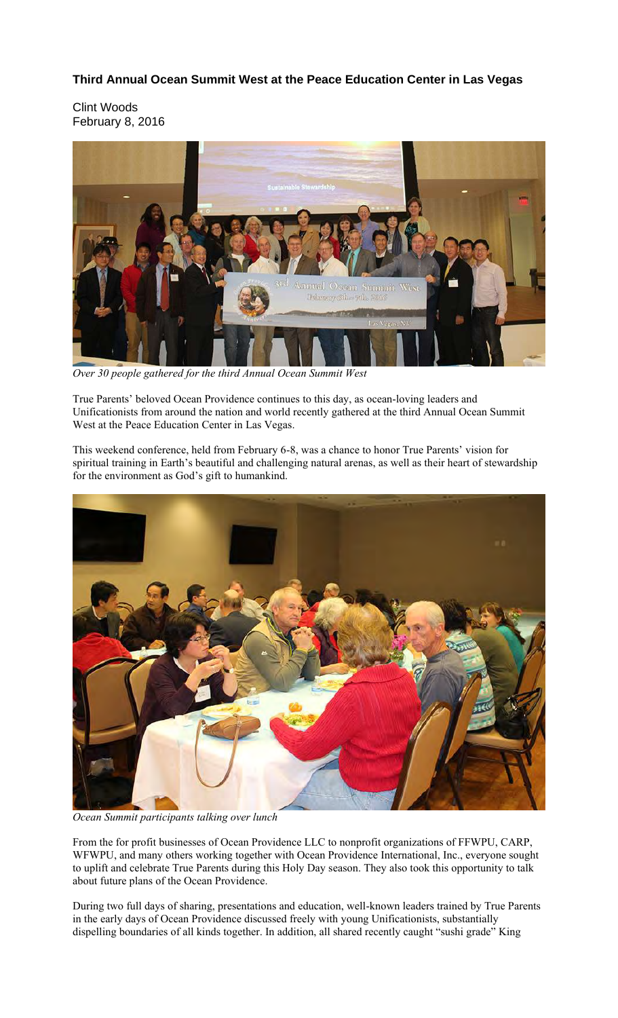## **Third Annual Ocean Summit West at the Peace Education Center in Las Vegas**

Clint Woods February 8, 2016



*Over 30 people gathered for the third Annual Ocean Summit West*

True Parents' beloved Ocean Providence continues to this day, as ocean-loving leaders and Unificationists from around the nation and world recently gathered at the third Annual Ocean Summit West at the Peace Education Center in Las Vegas.

This weekend conference, held from February 6-8, was a chance to honor True Parents' vision for spiritual training in Earth's beautiful and challenging natural arenas, as well as their heart of stewardship for the environment as God's gift to humankind.



*Ocean Summit participants talking over lunch*

From the for profit businesses of Ocean Providence LLC to nonprofit organizations of FFWPU, CARP, WFWPU, and many others working together with Ocean Providence International, Inc., everyone sought to uplift and celebrate True Parents during this Holy Day season. They also took this opportunity to talk about future plans of the Ocean Providence.

During two full days of sharing, presentations and education, well-known leaders trained by True Parents in the early days of Ocean Providence discussed freely with young Unificationists, substantially dispelling boundaries of all kinds together. In addition, all shared recently caught "sushi grade" King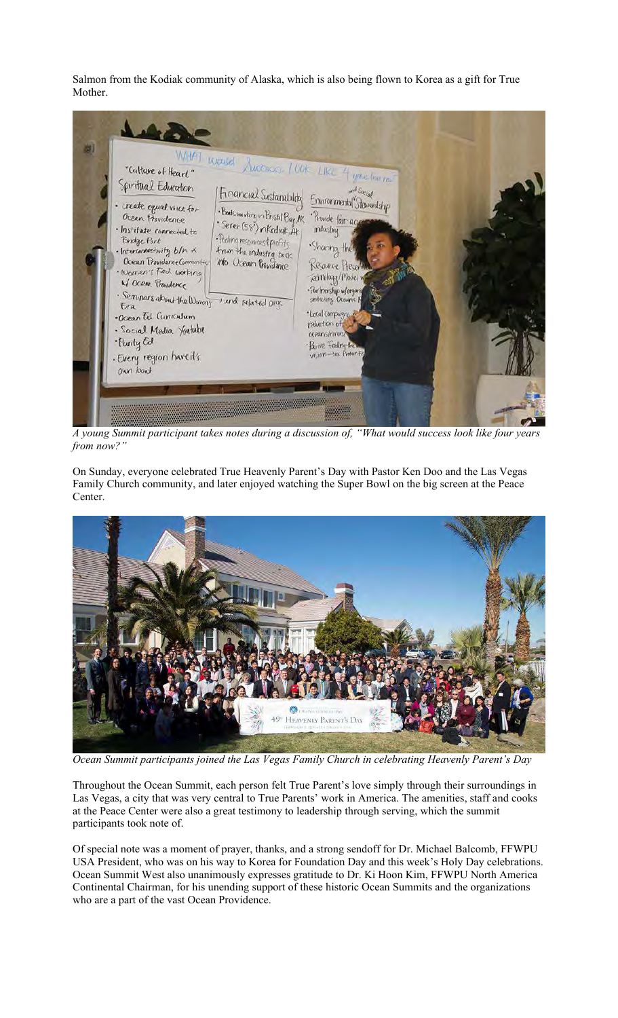Salmon from the Kodiak community of Alaska, which is also being flown to Korea as a gift for True Mother.



*A young Summit participant takes notes during a discussion of, "What would success look like four years from now?"*

On Sunday, everyone celebrated True Heavenly Parent's Day with Pastor Ken Doo and the Las Vegas Family Church community, and later enjoyed watching the Super Bowl on the big screen at the Peace Center.



*Ocean Summit participants joined the Las Vegas Family Church in celebrating Heavenly Parent's Day*

Throughout the Ocean Summit, each person felt True Parent's love simply through their surroundings in Las Vegas, a city that was very central to True Parents' work in America. The amenities, staff and cooks at the Peace Center were also a great testimony to leadership through serving, which the summit participants took note of.

Of special note was a moment of prayer, thanks, and a strong sendoff for Dr. Michael Balcomb, FFWPU USA President, who was on his way to Korea for Foundation Day and this week's Holy Day celebrations. Ocean Summit West also unanimously expresses gratitude to Dr. Ki Hoon Kim, FFWPU North America Continental Chairman, for his unending support of these historic Ocean Summits and the organizations who are a part of the vast Ocean Providence.